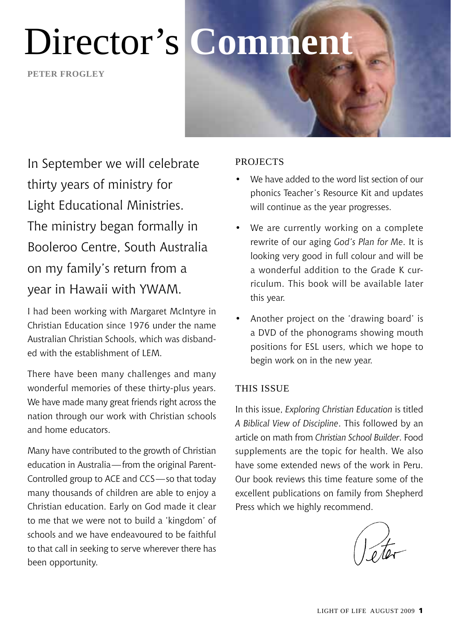**peter frogley**



In September we will celebrate thirty years of ministry for Light Educational Ministries. The ministry began formally in Booleroo Centre, South Australia on my family's return from a year in Hawaii with YWAM.

I had been working with Margaret McIntyre in Christian Education since 1976 under the name Australian Christian Schools, which was disbanded with the establishment of LEM.

There have been many challenges and many wonderful memories of these thirty-plus years. We have made many great friends right across the nation through our work with Christian schools and home educators.

Many have contributed to the growth of Christian education in Australia - from the original Parent-Controlled group to ACE and CCS —so that today many thousands of children are able to enjoy a Christian education. Early on God made it clear to me that we were not to build a 'kingdom' of schools and we have endeavoured to be faithful to that call in seeking to serve wherever there has been opportunity.

#### **PROJECTS**

- We have added to the word list section of our phonics Teacher's Resource Kit and updates will continue as the year progresses.
- We are currently working on a complete rewrite of our aging *God's Plan for Me*. It is looking very good in full colour and will be a wonderful addition to the Grade K curriculum. This book will be available later this year.
- Another project on the 'drawing board' is a DVD of the phonograms showing mouth positions for ESL users, which we hope to begin work on in the new year.

#### This Issue

In this issue, *Exploring Christian Education* is titled *A Biblical View of Discipline*. This followed by an article on math from *Christian School Builder*. Food supplements are the topic for health. We also have some extended news of the work in Peru. Our book reviews this time feature some of the excellent publications on family from Shepherd Press which we highly recommend.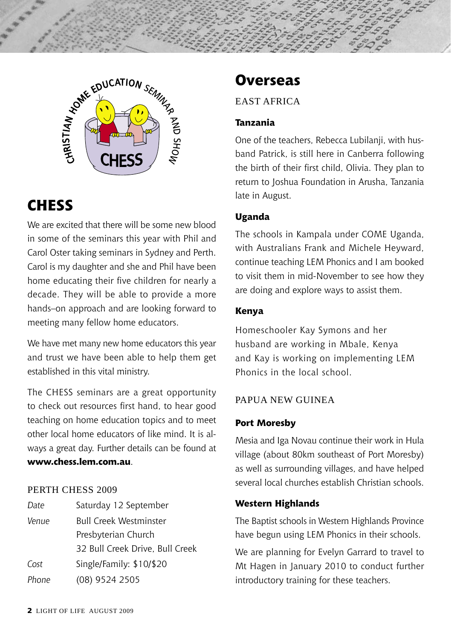

#### **CHESS**

We are excited that there will be some new blood in some of the seminars this year with Phil and Carol Oster taking seminars in Sydney and Perth. Carol is my daughter and she and Phil have been home educating their five children for nearly a decade. They will be able to provide a more hands–on approach and are looking forward to meeting many fellow home educators.

We have met many new home educators this year and trust we have been able to help them get established in this vital ministry.

The CHESS seminars are a great opportunity to check out resources first hand, to hear good teaching on home education topics and to meet other local home educators of like mind. It is always a great day. Further details can be found at **www.chess.lem.com.au**.

#### PERTH CHESS 2009

*Date* Saturday 12 September *Venue* Bull Creek Westminster Presbyterian Church 32 Bull Creek Drive, Bull Creek *Cost* Single/Family: \$10/\$20 *Phone* (08) 9524 2505

#### **Overseas**

East Africa

#### **Tanzania**

One of the teachers, Rebecca Lubilanji, with husband Patrick, is still here in Canberra following the birth of their first child, Olivia. They plan to return to Joshua Foundation in Arusha, Tanzania late in August.

#### **Uganda**

The schools in Kampala under COME Uganda, with Australians Frank and Michele Heyward, continue teaching LEM Phonics and I am booked to visit them in mid-November to see how they are doing and explore ways to assist them.

#### **Kenya**

Homeschooler Kay Symons and her husband are working in Mbale, Kenya and Kay is working on implementing LEM Phonics in the local school.

#### Papua New Guinea

#### **Port Moresby**

Mesia and Iga Novau continue their work in Hula village (about 80km southeast of Port Moresby) as well as surrounding villages, and have helped several local churches establish Christian schools.

#### **Western Highlands**

The Baptist schools in Western Highlands Province have begun using LEM Phonics in their schools.

We are planning for Evelyn Garrard to travel to Mt Hagen in January 2010 to conduct further introductory training for these teachers.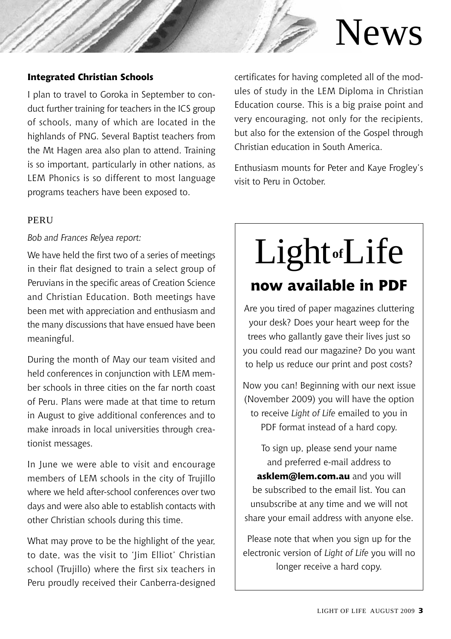# News

#### **Integrated Christian Schools**

I plan to travel to Goroka in September to conduct further training for teachers in the ICS group of schools, many of which are located in the highlands of PNG. Several Baptist teachers from the Mt Hagen area also plan to attend. Training is so important, particularly in other nations, as LEM Phonics is so different to most language programs teachers have been exposed to.

#### **PERU**

*Bob and Frances Relyea report:*

We have held the first two of a series of meetings in their flat designed to train a select group of Peruvians in the specific areas of Creation Science and Christian Education. Both meetings have been met with appreciation and enthusiasm and the many discussions that have ensued have been meaningful.

During the month of May our team visited and held conferences in conjunction with LEM member schools in three cities on the far north coast of Peru. Plans were made at that time to return in August to give additional conferences and to make inroads in local universities through creationist messages.

In June we were able to visit and encourage members of LEM schools in the city of Trujillo where we held after-school conferences over two days and were also able to establish contacts with other Christian schools during this time.

What may prove to be the highlight of the year, to date, was the visit to 'Jim Elliot' Christian school (Trujillo) where the first six teachers in Peru proudly received their Canberra-designed

certificates for having completed all of the modules of study in the LEM Diploma in Christian Education course. This is a big praise point and very encouraging, not only for the recipients, but also for the extension of the Gospel through Christian education in South America.

Enthusiasm mounts for Peter and Kaye Frogley's visit to Peru in October.

## **now available in PDF** Light**of**Life

Are you tired of paper magazines cluttering your desk? Does your heart weep for the trees who gallantly gave their lives just so you could read our magazine? Do you want to help us reduce our print and post costs?

Now you can! Beginning with our next issue (November 2009) you will have the option to receive *Light of Life* emailed to you in PDF format instead of a hard copy.

> To sign up, please send your name and preferred e-mail address to

**asklem@lem.com.au** and you will be subscribed to the email list. You can unsubscribe at any time and we will not share your email address with anyone else.

Please note that when you sign up for the electronic version of *Light of Life* you will no longer receive a hard copy.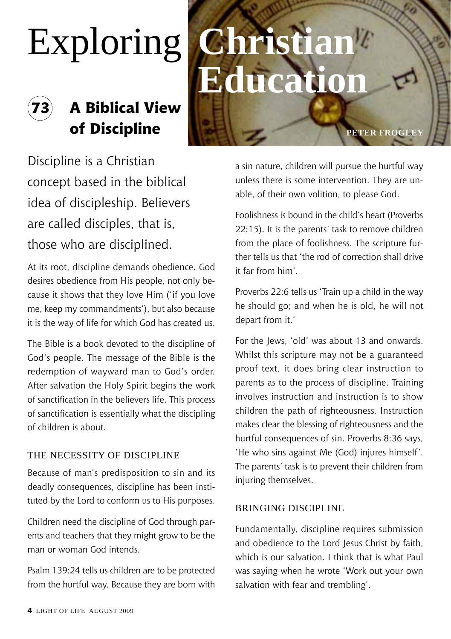# Exploring **Christian**

### **73 A Biblical View of Discipline peter frogley**

# **Educatio**

Discipline is a Christian concept based in the biblical idea of discipleship. Believers are called disciples, that is, those who are disciplined.

At its root, discipline demands obedience. God desires obedience from His people, not only because it shows that they love Him ('if you love me, keep my commandments'), but also because it is the way of life for which God has created us.

The Bible is a book devoted to the discipline of God's people. The message of the Bible is the redemption of wayward man to God's order. After salvation the Holy Spirit begins the work of sanctification in the believers life. This process of sanctification is essentially what the discipling of children is about.

#### The Necessity of Discipline

Because of man's predisposition to sin and its deadly consequences, discipline has been instituted by the Lord to conform us to His purposes.

Children need the discipline of God through parents and teachers that they might grow to be the man or woman God intends.

Psalm 139:24 tells us children are to be protected from the hurtful way. Because they are born with a sin nature, children will pursue the hurtful way unless there is some intervention. They are unable, of their own volition, to please God.

Foolishness is bound in the child's heart (Proverbs 22:15). It is the parents' task to remove children from the place of foolishness. The scripture further tells us that 'the rod of correction shall drive it far from him'.

Proverbs 22:6 tells us 'Train up a child in the way he should go; and when he is old, he will not depart from it.'

For the Jews, 'old' was about 13 and onwards. Whilst this scripture may not be a guaranteed proof text, it does bring clear instruction to parents as to the process of discipline. Training involves instruction and instruction is to show children the path of righteousness. Instruction makes clear the blessing of righteousness and the hurtful consequences of sin. Proverbs 8:36 says, 'He who sins against Me (God) injures himself'. The parents' task is to prevent their children from injuring themselves.

#### Bringing Discipline

Fundamentally, discipline requires submission and obedience to the Lord Jesus Christ by faith, which is our salvation. I think that is what Paul was saying when he wrote 'Work out your own salvation with fear and trembling'.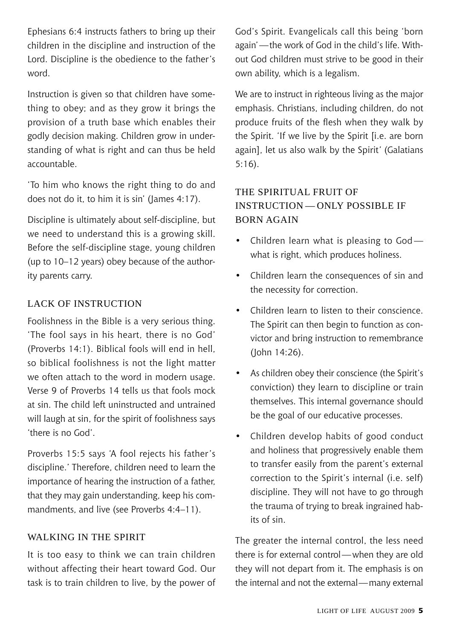Ephesians 6:4 instructs fathers to bring up their children in the discipline and instruction of the Lord. Discipline is the obedience to the father's word.

Instruction is given so that children have something to obey; and as they grow it brings the provision of a truth base which enables their godly decision making. Children grow in understanding of what is right and can thus be held accountable.

'To him who knows the right thing to do and does not do it, to him it is sin' (James 4:17).

Discipline is ultimately about self-discipline, but we need to understand this is a growing skill. Before the self-discipline stage, young children (up to 10–12 years) obey because of the authority parents carry.

#### Lack of Instruction

Foolishness in the Bible is a very serious thing. 'The fool says in his heart, there is no God' (Proverbs 14:1). Biblical fools will end in hell, so biblical foolishness is not the light matter we often attach to the word in modern usage. Verse 9 of Proverbs 14 tells us that fools mock at sin. The child left uninstructed and untrained will laugh at sin, for the spirit of foolishness says 'there is no God'.

Proverbs 15:5 says 'A fool rejects his father's discipline.' Therefore, children need to learn the importance of hearing the instruction of a father, that they may gain understanding, keep his commandments, and live (see Proverbs 4:4–11).

#### Walking in the Spirit

It is too easy to think we can train children without affecting their heart toward God. Our task is to train children to live, by the power of

God's Spirit. Evangelicals call this being 'born again'—the work of God in the child's life. Without God children must strive to be good in their own ability, which is a legalism.

We are to instruct in righteous living as the major emphasis. Christians, including children, do not produce fruits of the flesh when they walk by the Spirit. 'If we live by the Spirit [i.e. are born again], let us also walk by the Spirit*'* (Galatians 5:16).

#### The spiritual fruit of instruction — only possible if BORN AGAIN

- Children learn what is pleasing to Godwhat is right, which produces holiness.
- • Children learn the consequences of sin and the necessity for correction.
- • Children learn to listen to their conscience. The Spirit can then begin to function as convictor and bring instruction to remembrance (John 14:26).
- • As children obey their conscience (the Spirit's conviction) they learn to discipline or train themselves. This internal governance should be the goal of our educative processes.
- • Children develop habits of good conduct and holiness that progressively enable them to transfer easily from the parent's external correction to the Spirit's internal (i.e. self) discipline. They will not have to go through the trauma of trying to break ingrained habits of sin.

The greater the internal control, the less need there is for external control—when they are old they will not depart from it. The emphasis is on the internal and not the external—many external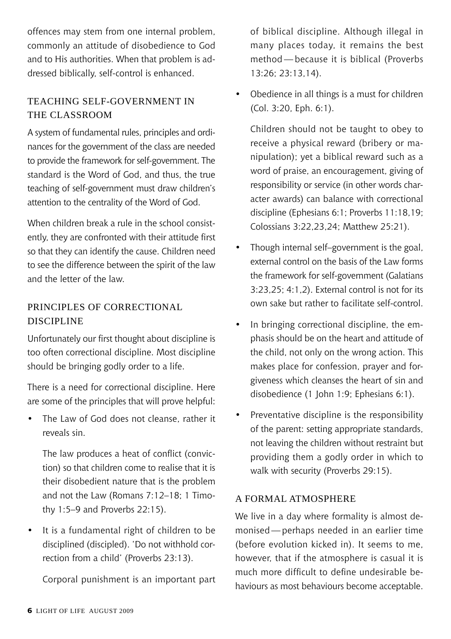offences may stem from one internal problem, commonly an attitude of disobedience to God and to His authorities. When that problem is addressed biblically, self-control is enhanced.

#### Teaching self-government in the classroom

A system of fundamental rules, principles and ordinances for the government of the class are needed to provide the framework for self-government. The standard is the Word of God, and thus, the true teaching of self-government must draw children's attention to the centrality of the Word of God.

When children break a rule in the school consistently, they are confronted with their attitude first so that they can identify the cause. Children need to see the difference between the spirit of the law and the letter of the law.

#### Principles of Correctional Discipline

Unfortunately our first thought about discipline is too often correctional discipline. Most discipline should be bringing godly order to a life.

There is a need for correctional discipline. Here are some of the principles that will prove helpful:

The Law of God does not cleanse, rather it reveals sin.

The law produces a heat of conflict (conviction) so that children come to realise that it is their disobedient nature that is the problem and not the Law (Romans 7:12–18; 1 Timothy 1:5–9 and Proverbs 22:15).

It is a fundamental right of children to be disciplined (discipled). 'Do not withhold correction from a child' (Proverbs 23:13).

Corporal punishment is an important part

of biblical discipline. Although illegal in many places today, it remains the best method — because it is biblical (Proverbs 13:26; 23:13,14).

• Obedience in all things is a must for children (Col. 3:20, Eph. 6:1).

Children should not be taught to obey to receive a physical reward (bribery or manipulation); yet a biblical reward such as a word of praise, an encouragement, giving of responsibility or service (in other words character awards) can balance with correctional discipline (Ephesians 6:1; Proverbs 11:18,19; Colossians 3:22,23,24; Matthew 25:21).

- Though internal self–government is the goal, external control on the basis of the Law forms the framework for self-government (Galatians 3:23,25; 4:1,2). External control is not for its own sake but rather to facilitate self-control.
- In bringing correctional discipline, the emphasis should be on the heart and attitude of the child, not only on the wrong action. This makes place for confession, prayer and forgiveness which cleanses the heart of sin and disobedience (1 John 1:9; Ephesians 6:1).
- • Preventative discipline is the responsibility of the parent: setting appropriate standards, not leaving the children without restraint but providing them a godly order in which to walk with security (Proverbs 29:15).

#### A Formal Atmosphere

We live in a day where formality is almost demonised — perhaps needed in an earlier time (before evolution kicked in). It seems to me, however, that if the atmosphere is casual it is much more difficult to define undesirable behaviours as most behaviours become acceptable.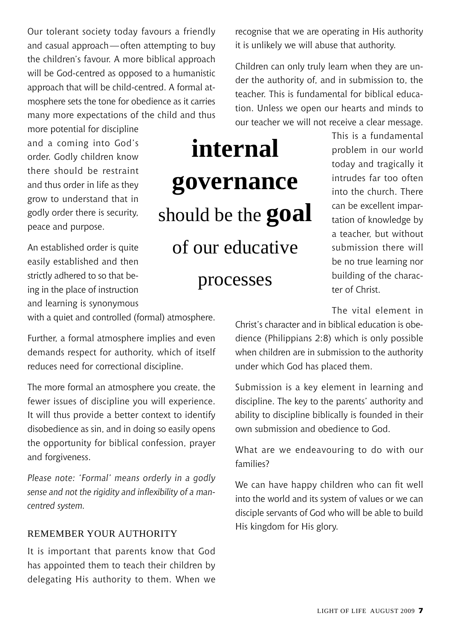Our tolerant society today favours a friendly and casual approach—often attempting to buy the children's favour. A more biblical approach will be God-centred as opposed to a humanistic approach that will be child-centred. A formal atmosphere sets the tone for obedience as it carries many more expectations of the child and thus

more potential for discipline and a coming into God's order. Godly children know there should be restraint and thus order in life as they grow to understand that in godly order there is security, peace and purpose.

An established order is quite easily established and then strictly adhered to so that being in the place of instruction and learning is synonymous

with a quiet and controlled (formal) atmosphere.

Further, a formal atmosphere implies and even demands respect for authority, which of itself reduces need for correctional discipline.

The more formal an atmosphere you create, the fewer issues of discipline you will experience. It will thus provide a better context to identify disobedience as sin, and in doing so easily opens the opportunity for biblical confession, prayer and forgiveness.

*Please note: 'Formal' means orderly in a godly sense and not the rigidity and inflexibility of a mancentred system.*

#### REMEMBER YOUR AUTHORITY

It is important that parents know that God has appointed them to teach their children by delegating His authority to them. When we recognise that we are operating in His authority it is unlikely we will abuse that authority.

Children can only truly learn when they are under the authority of, and in submission to, the teacher. This is fundamental for biblical education. Unless we open our hearts and minds to our teacher we will not receive a clear message.

> This is a fundamental problem in our world today and tragically it intrudes far too often into the church. There can be excellent impartation of knowledge by a teacher, but without submission there will be no true learning nor building of the character of Christ.

> The vital element in

Christ's character and in biblical education is obedience (Philippians 2:8) which is only possible when children are in submission to the authority under which God has placed them.

Submission is a key element in learning and discipline. The key to the parents' authority and ability to discipline biblically is founded in their own submission and obedience to God.

What are we endeavouring to do with our families?

We can have happy children who can fit well into the world and its system of values or we can disciple servants of God who will be able to build His kingdom for His glory.

### **internal governance** should be the **goal** of our educative processes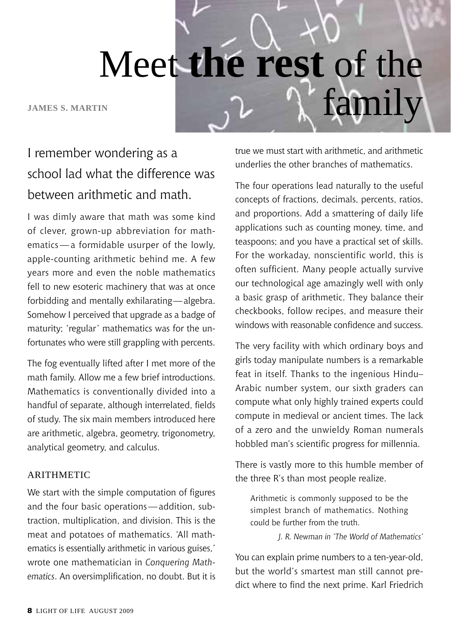Meet **the rest** of the JAMES S. MARTIN **family** 

#### I remember wondering as a school lad what the difference was between arithmetic and math.

I was dimly aware that math was some kind of clever, grown-up abbreviation for mathematics — a formidable usurper of the lowly, apple-counting arithmetic behind me. A few years more and even the noble mathematics fell to new esoteric machinery that was at once forbidding and mentally exhilarating—algebra. Somehow I perceived that upgrade as a badge of maturity; 'regular' mathematics was for the unfortunates who were still grappling with percents.

The fog eventually lifted after I met more of the math family. Allow me a few brief introductions. Mathematics is conventionally divided into a handful of separate, although interrelated, fields of study. The six main members introduced here are arithmetic, algebra, geometry, trigonometry, analytical geometry, and calculus.

#### **ARITHMETIC**

We start with the simple computation of figures and the four basic operations—addition, subtraction, multiplication, and division. This is the meat and potatoes of mathematics. 'All mathematics is essentially arithmetic in various guises,' wrote one mathematician in *Conquering Mathematics*. An oversimplification, no doubt. But it is true we must start with arithmetic, and arithmetic underlies the other branches of mathematics.

The four operations lead naturally to the useful concepts of fractions, decimals, percents, ratios, and proportions. Add a smattering of daily life applications such as counting money, time, and teaspoons; and you have a practical set of skills. For the workaday, nonscientific world, this is often sufficient. Many people actually survive our technological age amazingly well with only a basic grasp of arithmetic. They balance their checkbooks, follow recipes, and measure their windows with reasonable confidence and success.

The very facility with which ordinary boys and girls today manipulate numbers is a remarkable feat in itself. Thanks to the ingenious Hindu– Arabic number system, our sixth graders can compute what only highly trained experts could compute in medieval or ancient times. The lack of a zero and the unwieldy Roman numerals hobbled man's scientific progress for millennia.

There is vastly more to this humble member of the three R's than most people realize.

Arithmetic is commonly supposed to be the simplest branch of mathematics. Nothing could be further from the truth.

*J. R. Newman in 'The World of Mathematics'*

You can explain prime numbers to a ten-year-old, but the world's smartest man still cannot predict where to find the next prime. Karl Friedrich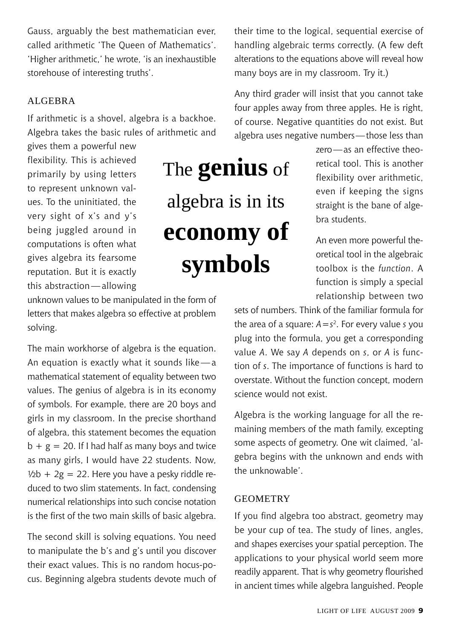Gauss, arguably the best mathematician ever, called arithmetic 'The Queen of Mathematics'. 'Higher arithmetic,' he wrote, 'is an inexhaustible storehouse of interesting truths'.

#### ALGEBRA

If arithmetic is a shovel, algebra is a backhoe. Algebra takes the basic rules of arithmetic and

gives them a powerful new flexibility. This is achieved primarily by using letters to represent unknown values. To the uninitiated, the very sight of x's and y's being juggled around in computations is often what gives algebra its fearsome reputation. But it is exactly this abstraction—allowing

## The **genius** of algebra is in its **economy of symbols**

their time to the logical, sequential exercise of handling algebraic terms correctly. (A few deft alterations to the equations above will reveal how many boys are in my classroom. Try it.)

Any third grader will insist that you cannot take four apples away from three apples. He is right, of course. Negative quantities do not exist. But algebra uses negative numbers—those less than

> zero—as an effective theoretical tool. This is another flexibility over arithmetic, even if keeping the signs straight is the bane of algebra students.

> An even more powerful theoretical tool in the algebraic toolbox is the *function*. A function is simply a special relationship between two

sets of numbers. Think of the familiar formula for the area of a square: *A=s*2. For every value *s* you plug into the formula, you get a corresponding value *A*. We say *A* depends on *s*, or *A* is function of *s*. The importance of functions is hard to overstate. Without the function concept, modern science would not exist.

Algebra is the working language for all the remaining members of the math family, excepting some aspects of geometry. One wit claimed, 'algebra begins with the unknown and ends with the unknowable'.

#### **GEOMETRY**

If you find algebra too abstract, geometry may be your cup of tea. The study of lines, angles, and shapes exercises your spatial perception. The applications to your physical world seem more readily apparent. That is why geometry flourished in ancient times while algebra languished. People

#### unknown values to be manipulated in the form of letters that makes algebra so effective at problem solving.

The main workhorse of algebra is the equation. An equation is exactly what it sounds like — a mathematical statement of equality between two values. The genius of algebra is in its economy of symbols. For example, there are 20 boys and girls in my classroom. In the precise shorthand of algebra, this statement becomes the equation  $b + g = 20$ . If I had half as many boys and twice as many girls, I would have 22 students. Now,  $1/2b + 2g = 22$ . Here you have a pesky riddle reduced to two slim statements. In fact, condensing numerical relationships into such concise notation is the first of the two main skills of basic algebra.

The second skill is solving equations. You need to manipulate the b's and g's until you discover their exact values. This is no random hocus-pocus. Beginning algebra students devote much of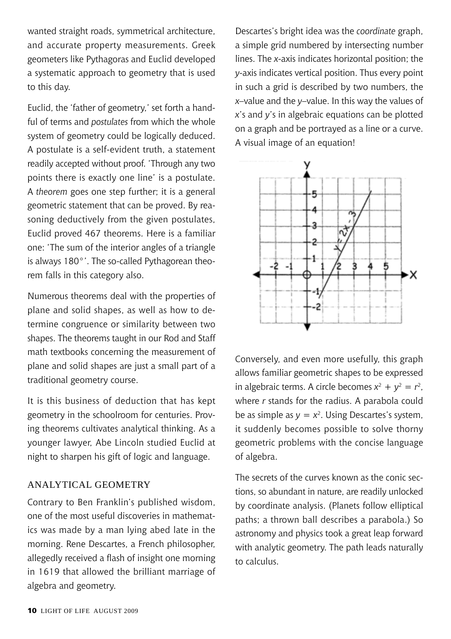wanted straight roads, symmetrical architecture, and accurate property measurements. Greek geometers like Pythagoras and Euclid developed a systematic approach to geometry that is used to this day.

Euclid, the 'father of geometry,' set forth a handful of terms and *postulates* from which the whole system of geometry could be logically deduced. A postulate is a self-evident truth, a statement readily accepted without proof. 'Through any two points there is exactly one line' is a postulate. A *theorem* goes one step further; it is a general geometric statement that can be proved. By reasoning deductively from the given postulates, Euclid proved 467 theorems. Here is a familiar one: 'The sum of the interior angles of a triangle is always 180°'. The so-called Pythagorean theorem falls in this category also.

Numerous theorems deal with the properties of plane and solid shapes, as well as how to determine congruence or similarity between two shapes. The theorems taught in our Rod and Staff math textbooks concerning the measurement of plane and solid shapes are just a small part of a traditional geometry course.

It is this business of deduction that has kept geometry in the schoolroom for centuries. Proving theorems cultivates analytical thinking. As a younger lawyer, Abe Lincoln studied Euclid at night to sharpen his gift of logic and language.

#### Analytical Geometry

Contrary to Ben Franklin's published wisdom, one of the most useful discoveries in mathematics was made by a man lying abed late in the morning. Rene Descartes, a French philosopher, allegedly received a flash of insight one morning in 1619 that allowed the brilliant marriage of algebra and geometry.

Descartes's bright idea was the *coordinate* graph, a simple grid numbered by intersecting number lines. The *x*-axis indicates horizontal position; the *y*-axis indicates vertical position. Thus every point in such a grid is described by two numbers, the *x*–value and the *y*–value. In this way the values of *x*'s and *y*'s in algebraic equations can be plotted on a graph and be portrayed as a line or a curve. A visual image of an equation!



Conversely, and even more usefully, this graph allows familiar geometric shapes to be expressed in algebraic terms. A circle becomes  $x^2 + y^2 = r^2$ , where *r* stands for the radius. A parabola could be as simple as  $v = x^2$ . Using Descartes's system, it suddenly becomes possible to solve thorny geometric problems with the concise language of algebra.

The secrets of the curves known as the conic sections, so abundant in nature, are readily unlocked by coordinate analysis. (Planets follow elliptical paths; a thrown ball describes a parabola.) So astronomy and physics took a great leap forward with analytic geometry. The path leads naturally to calculus.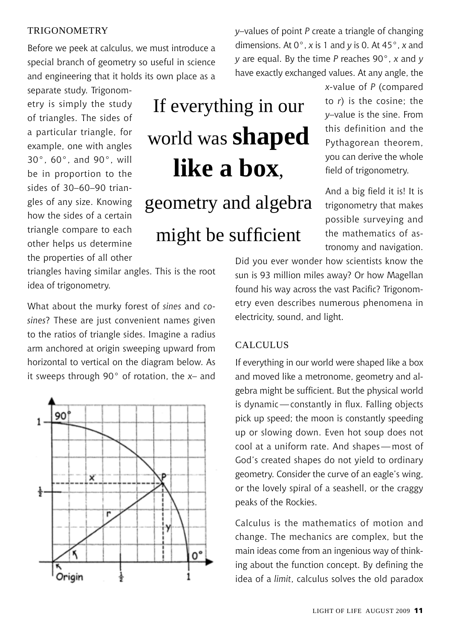#### **TRIGONOMETRY**

Before we peek at calculus, we must introduce a special branch of geometry so useful in science and engineering that it holds its own place as a

separate study. Trigonometry is simply the study of triangles. The sides of a particular triangle, for example, one with angles 30°, 60°, and 90°, will be in proportion to the sides of 30–60–90 triangles of any size. Knowing how the sides of a certain triangle compare to each other helps us determine the properties of all other

# If everything in our world was **shaped like a box**, geometry and algebra

#### might be sufficient

triangles having similar angles. This is the root idea of trigonometry.

What about the murky forest of *sines* and *cosines*? These are just convenient names given to the ratios of triangle sides. Imagine a radius arm anchored at origin sweeping upward from horizontal to vertical on the diagram below. As it sweeps through 90° of rotation, the *x*– and



*y*–values of point *P* create a triangle of changing dimensions. At 0°, *x* is 1 and *y* is 0. At 45°, *x* and *y* are equal. By the time *P* reaches 90°, *x* and *y* have exactly exchanged values. At any angle, the

> *x*-value of *P* (compared to *r*) is the cosine; the *y*–value is the sine. From this definition and the Pythagorean theorem, you can derive the whole field of trigonometry.

> And a big field it is! It is trigonometry that makes possible surveying and the mathematics of astronomy and navigation.

Did you ever wonder how scientists know the sun is 93 million miles away? Or how Magellan found his way across the vast Pacific? Trigonometry even describes numerous phenomena in electricity, sound, and light.

#### **CALCULUS**

If everything in our world were shaped like a box and moved like a metronome, geometry and algebra might be sufficient. But the physical world is dynamic—constantly in flux. Falling objects pick up speed; the moon is constantly speeding up or slowing down. Even hot soup does not cool at a uniform rate. And shapes— most of God's created shapes do not yield to ordinary geometry. Consider the curve of an eagle's wing, or the lovely spiral of a seashell, or the craggy peaks of the Rockies.

Calculus is the mathematics of motion and change. The mechanics are complex, but the main ideas come from an ingenious way of thinking about the function concept. By defining the idea of a *limit*, calculus solves the old paradox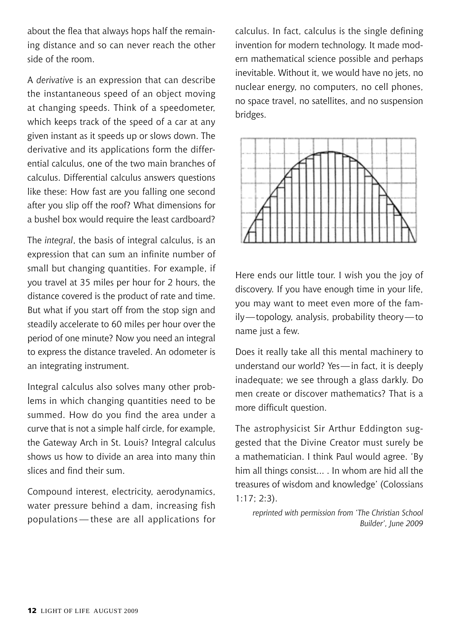about the flea that always hops half the remaining distance and so can never reach the other side of the room.

A *derivative* is an expression that can describe the instantaneous speed of an object moving at changing speeds. Think of a speedometer, which keeps track of the speed of a car at any given instant as it speeds up or slows down. The derivative and its applications form the differential calculus, one of the two main branches of calculus. Differential calculus answers questions like these: How fast are you falling one second after you slip off the roof? What dimensions for a bushel box would require the least cardboard?

The *integral*, the basis of integral calculus, is an expression that can sum an infinite number of small but changing quantities. For example, if you travel at 35 miles per hour for 2 hours, the distance covered is the product of rate and time. But what if you start off from the stop sign and steadily accelerate to 60 miles per hour over the period of one minute? Now you need an integral to express the distance traveled. An odometer is an integrating instrument.

Integral calculus also solves many other problems in which changing quantities need to be summed. How do you find the area under a curve that is not a simple half circle, for example, the Gateway Arch in St. Louis? Integral calculus shows us how to divide an area into many thin slices and find their sum.

Compound interest, electricity, aerodynamics, water pressure behind a dam, increasing fish populations — these are all applications for

calculus. In fact, calculus is the single defining invention for modern technology. It made modern mathematical science possible and perhaps inevitable. Without it, we would have no jets, no nuclear energy, no computers, no cell phones, no space travel, no satellites, and no suspension bridges.



Here ends our little tour. I wish you the joy of discovery. If you have enough time in your life, you may want to meet even more of the family—topology, analysis, probability theory—to name just a few.

Does it really take all this mental machinery to understand our world? Yes—in fact, it is deeply inadequate; we see through a glass darkly. Do men create or discover mathematics? That is a more difficult question.

The astrophysicist Sir Arthur Eddington suggested that the Divine Creator must surely be a mathematician. I think Paul would agree. 'By him all things consist... . In whom are hid all the treasures of wisdom and knowledge' (Colossians  $1:17:2:3$ ).

*reprinted with permission from 'The Christian School Builder', June 2009*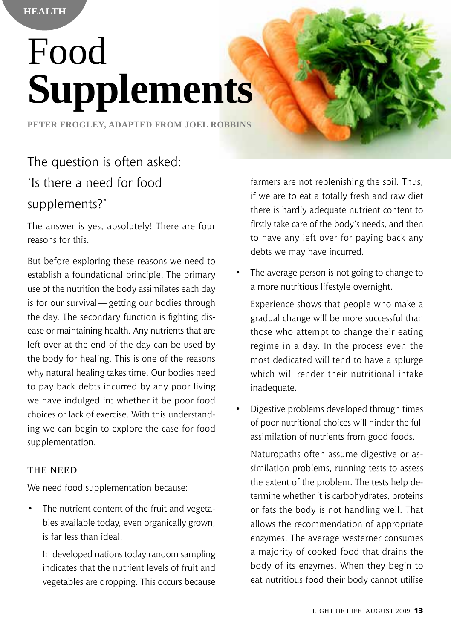**Health**

# Food **Supplements**

**Peter Frogley, adapted from Joel Robbins**

#### The question is often asked: 'Is there a need for food supplements?'

The answer is yes, absolutely! There are four reasons for this.

But before exploring these reasons we need to establish a foundational principle. The primary use of the nutrition the body assimilates each day is for our survival—getting our bodies through the day. The secondary function is fighting disease or maintaining health. Any nutrients that are left over at the end of the day can be used by the body for healing. This is one of the reasons why natural healing takes time. Our bodies need to pay back debts incurred by any poor living we have indulged in; whether it be poor food choices or lack of exercise. With this understanding we can begin to explore the case for food supplementation.

#### THE NEED

We need food supplementation because:

The nutrient content of the fruit and vegetables available today, even organically grown, is far less than ideal.

In developed nations today random sampling indicates that the nutrient levels of fruit and vegetables are dropping. This occurs because farmers are not replenishing the soil. Thus, if we are to eat a totally fresh and raw diet there is hardly adequate nutrient content to firstly take care of the body's needs, and then to have any left over for paying back any debts we may have incurred.

The average person is not going to change to a more nutritious lifestyle overnight.

Experience shows that people who make a gradual change will be more successful than those who attempt to change their eating regime in a day. In the process even the most dedicated will tend to have a splurge which will render their nutritional intake inadequate.

Digestive problems developed through times of poor nutritional choices will hinder the full assimilation of nutrients from good foods.

Naturopaths often assume digestive or assimilation problems, running tests to assess the extent of the problem. The tests help determine whether it is carbohydrates, proteins or fats the body is not handling well. That allows the recommendation of appropriate enzymes. The average westerner consumes a majority of cooked food that drains the body of its enzymes. When they begin to eat nutritious food their body cannot utilise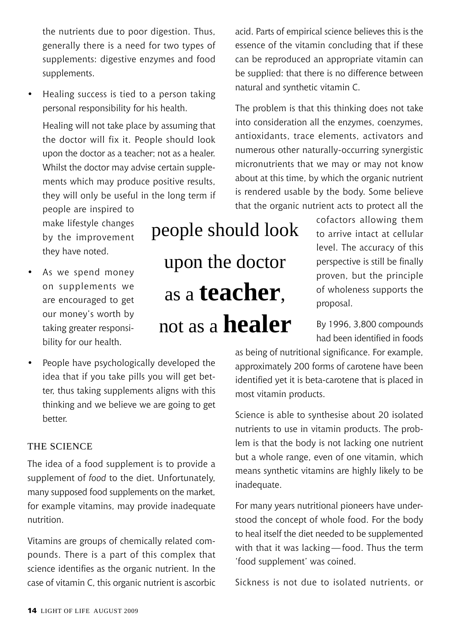the nutrients due to poor digestion. Thus, generally there is a need for two types of supplements: digestive enzymes and food supplements.

Healing success is tied to a person taking personal responsibility for his health.

Healing will not take place by assuming that the doctor will fix it. People should look upon the doctor as a teacher; not as a healer. Whilst the doctor may advise certain supplements which may produce positive results, they will only be useful in the long term if

people are inspired to make lifestyle changes by the improvement they have noted.

- As we spend money on supplements we are encouraged to get our money's worth by taking greater responsibility for our health.
- • People have psychologically developed the idea that if you take pills you will get better, thus taking supplements aligns with this thinking and we believe we are going to get better.

#### The science

The idea of a food supplement is to provide a supplement of *food* to the diet. Unfortunately, many supposed food supplements on the market, for example vitamins, may provide inadequate nutrition.

Vitamins are groups of chemically related compounds. There is a part of this complex that science identifies as the organic nutrient. In the case of vitamin C, this organic nutrient is ascorbic

upon the doctor as a **teacher**,

acid. Parts of empirical science believes this is the essence of the vitamin concluding that if these can be reproduced an appropriate vitamin can be supplied: that there is no difference between natural and synthetic vitamin C.

The problem is that this thinking does not take into consideration all the enzymes, coenzymes, antioxidants, trace elements, activators and numerous other naturally-occurring synergistic micronutrients that we may or may not know about at this time, by which the organic nutrient is rendered usable by the body. Some believe that the organic nutrient acts to protect all the

> cofactors allowing them to arrive intact at cellular level. The accuracy of this perspective is still be finally proven, but the principle of wholeness supports the proposal.

> By 1996, 3,800 compounds had been identified in foods

as being of nutritional significance. For example, approximately 200 forms of carotene have been identified yet it is beta-carotene that is placed in most vitamin products.

Science is able to synthesise about 20 isolated nutrients to use in vitamin products. The problem is that the body is not lacking one nutrient but a whole range, even of one vitamin, which means synthetic vitamins are highly likely to be inadequate.

For many years nutritional pioneers have understood the concept of whole food. For the body to heal itself the diet needed to be supplemented with that it was lacking—food. Thus the term 'food supplement' was coined.

Sickness is not due to isolated nutrients, or

people should look not as a **healer**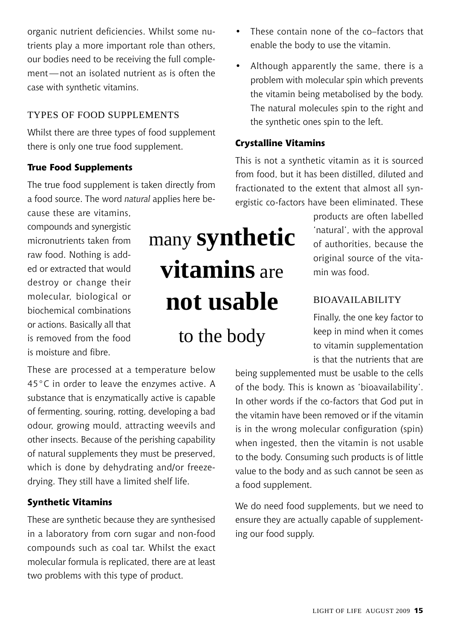Light of Life August 2009 15

organic nutrient deficiencies. Whilst some nutrients play a more important role than others, our bodies need to be receiving the full complement—not an isolated nutrient as is often the case with synthetic vitamins.

#### Types of Food Supplements

Whilst there are three types of food supplement there is only one true food supplement.

#### **True Food Supplements**

The true food supplement is taken directly from a food source. The word *natural* applies here be-

cause these are vitamins, compounds and synergistic micronutrients taken from raw food. Nothing is added or extracted that would destroy or change their molecular, biological or biochemical combinations or actions. Basically all that is removed from the food is moisture and fibre.

These are processed at a temperature below 45°C in order to leave the enzymes active. A substance that is enzymatically active is capable of fermenting, souring, rotting, developing a bad odour, growing mould, attracting weevils and other insects. Because of the perishing capability of natural supplements they must be preserved, which is done by dehydrating and/or freezedrying. They still have a limited shelf life.

#### **Synthetic Vitamins**

These are synthetic because they are synthesised in a laboratory from corn sugar and non-food compounds such as coal tar. Whilst the exact molecular formula is replicated, there are at least two problems with this type of product.

# many **synthetic vitamins** are **not usable**

to the body

- These contain none of the co–factors that enable the body to use the vitamin.
- Although apparently the same, there is a problem with molecular spin which prevents the vitamin being metabolised by the body. The natural molecules spin to the right and the synthetic ones spin to the left.

#### **Crystalline Vitamins**

This is not a synthetic vitamin as it is sourced from food, but it has been distilled, diluted and fractionated to the extent that almost all synergistic co-factors have been eliminated. These

> products are often labelled 'natural', with the approval of authorities, because the original source of the vitamin was food.

#### Bioavailability

Finally, the one key factor to keep in mind when it comes to vitamin supplementation is that the nutrients that are

being supplemented must be usable to the cells of the body. This is known as 'bioavailability'. In other words if the co-factors that God put in the vitamin have been removed or if the vitamin is in the wrong molecular configuration (spin) when ingested, then the vitamin is not usable to the body. Consuming such products is of little value to the body and as such cannot be seen as a food supplement.

We do need food supplements, but we need to ensure they are actually capable of supplementing our food supply.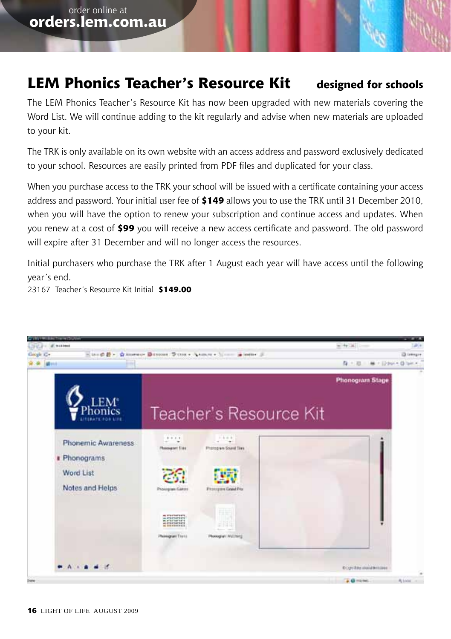#### **LEM Phonics Teacher's Resource Kit designed for schools**

The LEM Phonics Teacher's Resource Kit has now been upgraded with new materials covering the Word List. We will continue adding to the kit regularly and advise when new materials are uploaded to your kit.

The TRK is only available on its own website with an access address and password exclusively dedicated to your school. Resources are easily printed from PDF files and duplicated for your class.

When you purchase access to the TRK your school will be issued with a certificate containing your access address and password. Your initial user fee of **\$149** allows you to use the TRK until 31 December 2010, when you will have the option to renew your subscription and continue access and updates. When you renew at a cost of **\$99** you will receive a new access certificate and password. The old password will expire after 31 December and will no longer access the resources.

Initial purchasers who purchase the TRK after 1 August each year will have access until the following year's end.

23167 Teacher's Resource Kit Initial **\$149.00**

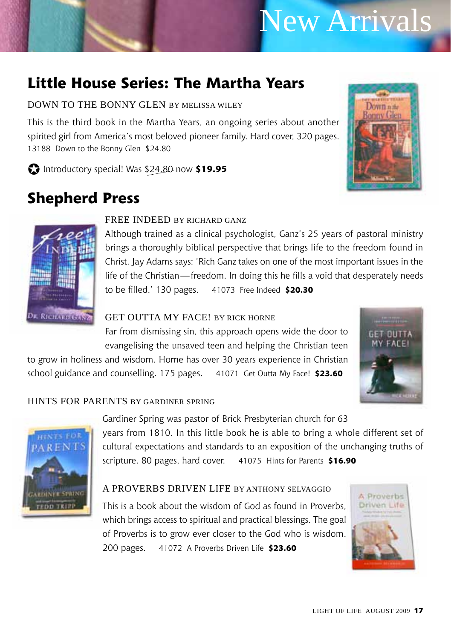# New Arrivals

#### **Little House Series: The Martha Years**

#### Down to the Bonny Glen by Melissa Wiley

This is the third book in the Martha Years, an ongoing series about another spirited girl from America's most beloved pioneer family. Hard cover, 320 pages. 13188 Down to the Bonny Glen \$24.80

J Introductory special! Was \$24.80 now **\$19.95**

#### **Shepherd Press**





**ARDINER SPRING** 

**FEDD TEIPP** 

#### FREE INDEED BY RICHARD GANZ

Although trained as a clinical psychologist, Ganz's 25 years of pastoral ministry brings a thoroughly biblical perspective that brings life to the freedom found in Christ. Jay Adams says: 'Rich Ganz takes on one of the most important issues in the life of the Christian—freedom. In doing this he fills a void that desperately needs to be filled.' 130 pages. 41073 Free Indeed **\$20.30**

#### GET OUTTA MY FACE! BY RICK HORNE

Far from dismissing sin, this approach opens wide the door to evangelising the unsaved teen and helping the Christian teen

to grow in holiness and wisdom. Horne has over 30 years experience in Christian school guidance and counselling. 175 pages. 41071 Get Outta My Face! **\$23.60**



#### Hints for Parents by Gardiner Spring



Gardiner Spring was pastor of Brick Presbyterian church for 63 years from 1810. In this little book he is able to bring a whole different set of cultural expectations and standards to an exposition of the unchanging truths of scripture. 80 pages, hard cover. 41075 Hints for Parents **\$16.90**

#### A Proverbs Driven Life by Anthony Selvaggio

This is a book about the wisdom of God as found in Proverbs, which brings access to spiritual and practical blessings. The goal of Proverbs is to grow ever closer to the God who is wisdom. 200 pages. 41072 A Proverbs Driven Life **\$23.60**

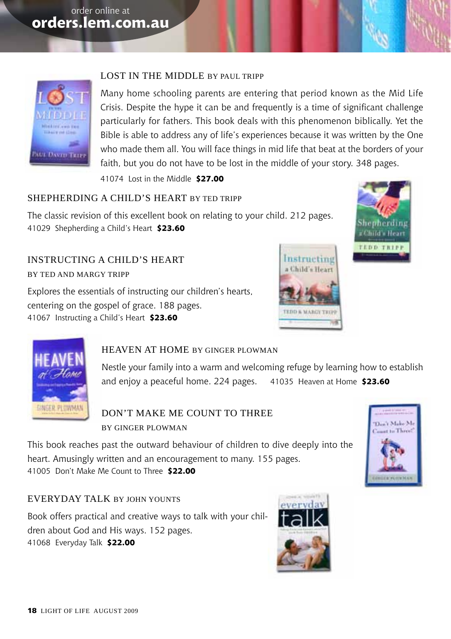

#### Lost in the Middle by Paul Tripp

Many home schooling parents are entering that period known as the Mid Life Crisis. Despite the hype it can be and frequently is a time of significant challenge particularly for fathers. This book deals with this phenomenon biblically. Yet the Bible is able to address any of life's experiences because it was written by the One who made them all. You will face things in mid life that beat at the borders of your faith, but you do not have to be lost in the middle of your story. 348 pages.

41074 Lost in the Middle **\$27.00**

#### Shepherding a Child's Heart by Ted Tripp

The classic revision of this excellent book on relating to your child. 212 pages. 41029 Shepherding a Child's Heart **\$23.60**

Instructing a Child's Heart by Ted and Margy Tripp

Explores the essentials of instructing our children's hearts, centering on the gospel of grace. 188 pages. 41067 Instructing a Child's Heart **\$23.60**







#### HEAVEN AT HOME BY GINGER PLOWMAN

Nestle your family into a warm and welcoming refuge by learning how to establish and enjoy a peaceful home. 224 pages. 41035 Heaven at Home **\$23.60**

Don't Make Me Count to Three by Ginger Plowman

This book reaches past the outward behaviour of children to dive deeply into the heart. Amusingly written and an encouragement to many. 155 pages. 41005 Don't Make Me Count to Three **\$22.00**

#### EVERYDAY TALK BY JOHN YOUNTS

Book offers practical and creative ways to talk with your children about God and His ways. 152 pages. 41068 Everyday Talk **\$22.00**

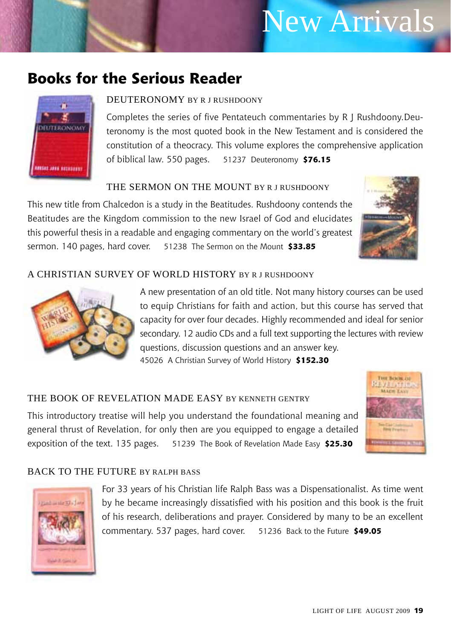### New Arrivals

#### **Books for the Serious Reader**



#### DEUTERONOMY BY R LRUSHDOONY

Completes the series of five Pentateuch commentaries by R J Rushdoony.Deuteronomy is the most quoted book in the New Testament and is considered the constitution of a theocracy. This volume explores the comprehensive application of biblical law. 550 pages. 51237 Deuteronomy **\$76.15**

#### THE SERMON ON THE MOUNT BY R LRUSHDOONY

This new title from Chalcedon is a study in the Beatitudes. Rushdoony contends the Beatitudes are the Kingdom commission to the new Israel of God and elucidates this powerful thesis in a readable and engaging commentary on the world's greatest sermon. 140 pages, hard cover. 51238 The Sermon on the Mount **\$33.85**



#### A Christian Survey of World History by R J Rushdoony



A new presentation of an old title. Not many history courses can be used to equip Christians for faith and action, but this course has served that capacity for over four decades. Highly recommended and ideal for senior secondary. 12 audio CDs and a full text supporting the lectures with review questions, discussion questions and an answer key. 45026 A Christian Survey of World History **\$152.30**

#### THE BOOK OF REVELATION MADE EASY BY KENNETH GENTRY

This introductory treatise will help you understand the foundational meaning and general thrust of Revelation, for only then are you equipped to engage a detailed exposition of the text. 135 pages. 51239 The Book of Revelation Made Easy **\$25.30**



#### BACK TO THE FUTURE BY RALPH BASS



For 33 years of his Christian life Ralph Bass was a Dispensationalist. As time went by he became increasingly dissatisfied with his position and this book is the fruit of his research, deliberations and prayer. Considered by many to be an excellent commentary. 537 pages, hard cover. 51236 Back to the Future **\$49.05**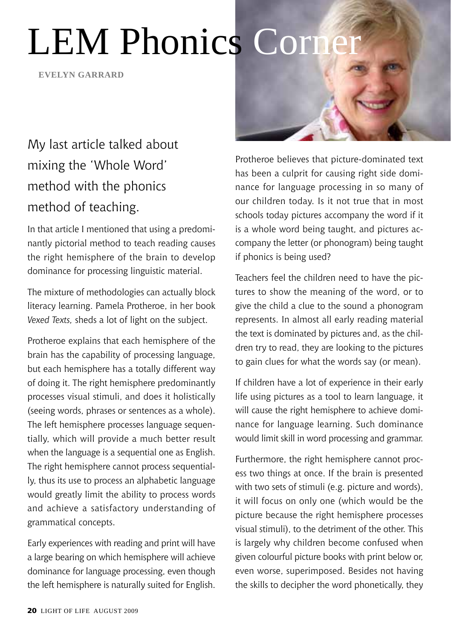# **LEM Phonics Corne**

**evelyn garrard**

#### My last article talked about mixing the 'Whole Word' method with the phonics method of teaching.

In that article I mentioned that using a predominantly pictorial method to teach reading causes the right hemisphere of the brain to develop dominance for processing linguistic material.

The mixture of methodologies can actually block literacy learning. Pamela Protheroe, in her book *Vexed Texts,* sheds a lot of light on the subject.

Protheroe explains that each hemisphere of the brain has the capability of processing language, but each hemisphere has a totally different way of doing it. The right hemisphere predominantly processes visual stimuli, and does it holistically (seeing words, phrases or sentences as a whole). The left hemisphere processes language sequentially, which will provide a much better result when the language is a sequential one as English. The right hemisphere cannot process sequentially, thus its use to process an alphabetic language would greatly limit the ability to process words and achieve a satisfactory understanding of grammatical concepts.

Early experiences with reading and print will have a large bearing on which hemisphere will achieve dominance for language processing, even though the left hemisphere is naturally suited for English.



Protheroe believes that picture-dominated text has been a culprit for causing right side dominance for language processing in so many of our children today. Is it not true that in most schools today pictures accompany the word if it is a whole word being taught, and pictures accompany the letter (or phonogram) being taught if phonics is being used?

Teachers feel the children need to have the pictures to show the meaning of the word, or to give the child a clue to the sound a phonogram represents. In almost all early reading material the text is dominated by pictures and, as the children try to read, they are looking to the pictures to gain clues for what the words say (or mean).

If children have a lot of experience in their early life using pictures as a tool to learn language, it will cause the right hemisphere to achieve dominance for language learning. Such dominance would limit skill in word processing and grammar.

Furthermore, the right hemisphere cannot process two things at once. If the brain is presented with two sets of stimuli (e.g. picture and words), it will focus on only one (which would be the picture because the right hemisphere processes visual stimuli), to the detriment of the other. This is largely why children become confused when given colourful picture books with print below or, even worse, superimposed. Besides not having the skills to decipher the word phonetically, they